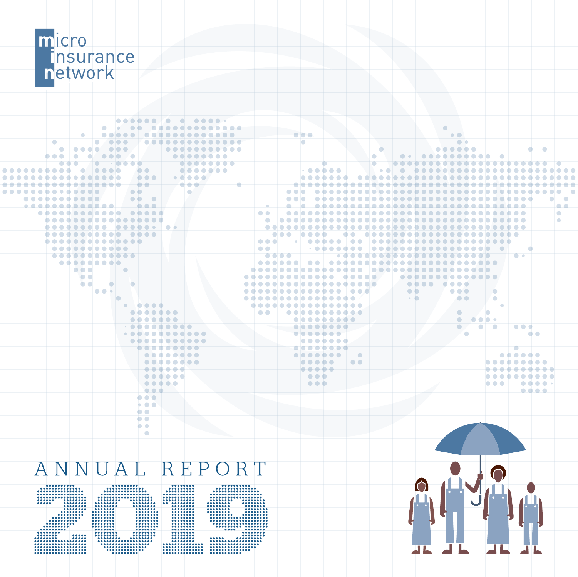

|  |           |                                 |              |                                                              |                                                                                                                 | <b></b>                                      |                                         |                         |   |                                      |                   |                                                     |            |                                         |                                    |            |                                                       |                                |           |                                |                                                                                                                              |                                                                    |                          |
|--|-----------|---------------------------------|--------------|--------------------------------------------------------------|-----------------------------------------------------------------------------------------------------------------|----------------------------------------------|-----------------------------------------|-------------------------|---|--------------------------------------|-------------------|-----------------------------------------------------|------------|-----------------------------------------|------------------------------------|------------|-------------------------------------------------------|--------------------------------|-----------|--------------------------------|------------------------------------------------------------------------------------------------------------------------------|--------------------------------------------------------------------|--------------------------|
|  |           |                                 |              | $\bullet\quad\bullet\quad\bullet\bullet$                     |                                                                                                                 | .                                            |                                         |                         |   |                                      |                   |                                                     |            |                                         |                                    |            |                                                       | $\bullet$                      |           |                                |                                                                                                                              |                                                                    |                          |
|  |           | $\qquad \qquad \bullet$         |              | $\bullet$ $\bullet$ $\bullet$ $\bullet$                      |                                                                                                                 | .                                            |                                         |                         |   |                                      |                   | .                                                   |            |                                         |                                    |            |                                                       | $\bullet$ $\bullet$            |           |                                |                                                                                                                              |                                                                    |                          |
|  | $\bullet$ |                                 |              | $\circ$ $\circ$                                              |                                                                                                                 | .                                            |                                         |                         |   |                                      |                   |                                                     |            |                                         |                                    |            |                                                       |                                | $\bullet$ |                                |                                                                                                                              |                                                                    |                          |
|  | $\bullet$ | $\bullet\bullet\bullet\bullet'$ |              | $\bullet\bullet\bullet$                                      |                                                                                                                 |                                              |                                         |                         |   |                                      |                   |                                                     |            |                                         | $\bullet$                          |            |                                                       | .                              |           |                                |                                                                                                                              | $\bullet$<br>$\blacksquare$                                        |                          |
|  | .         | $\bullet$                       |              | $\bullet\bullet\bullet\hspace{0.75mm}\bullet\hspace{0.75mm}$ |                                                                                                                 |                                              |                                         | .                       |   |                                      |                   |                                                     |            |                                         | $\bullet$                          | $\bullet$  |                                                       |                                |           |                                |                                                                                                                              |                                                                    |                          |
|  |           |                                 |              |                                                              |                                                                                                                 |                                              | $\bullet$ $\bullet$ $\bullet$ $\bullet$ | $\circ$ $\circ$ $\circ$ |   |                                      |                   |                                                     |            |                                         |                                    |            |                                                       |                                |           |                                |                                                                                                                              |                                                                    |                          |
|  | .         | $\bullet$                       | <b>10000</b> |                                                              | $\bullet$                                                                                                       |                                              |                                         | .                       |   |                                      |                   |                                                     | $ \cdot\>$ |                                         | $\bullet$ $\bullet$                |            |                                                       |                                |           |                                | .                                                                                                                            |                                                                    | <b>.</b>                 |
|  |           | .                               |              |                                                              | .                                                                                                               |                                              | $\bullet\bullet\bullet\bullet\bullet\\$ |                         |   |                                      |                   |                                                     | .          |                                         |                                    |            |                                                       |                                |           |                                |                                                                                                                              |                                                                    | .                        |
|  |           |                                 |              |                                                              |                                                                                                                 |                                              |                                         |                         | ÷ |                                      |                   |                                                     |            |                                         |                                    |            |                                                       |                                |           |                                |                                                                                                                              |                                                                    | د د د د د                |
|  |           |                                 |              |                                                              |                                                                                                                 |                                              | $\bullet$                               |                         |   |                                      |                   |                                                     |            |                                         |                                    |            |                                                       |                                |           |                                |                                                                                                                              |                                                                    | .                        |
|  |           | .                               |              |                                                              | $\begin{array}{ccccccccccccccccc} \bullet & \bullet & \bullet & \bullet & \bullet \end{array}$                  |                                              |                                         |                         |   |                                      |                   |                                                     |            |                                         |                                    |            |                                                       |                                |           |                                |                                                                                                                              |                                                                    | $\overline{\phantom{a}}$ |
|  |           | <u>.</u>                        |              |                                                              |                                                                                                                 |                                              |                                         |                         |   |                                      |                   |                                                     |            | <u>a a abaadaadaaabaabaadaaaabaabaa</u> |                                    |            |                                                       |                                |           |                                |                                                                                                                              |                                                                    | $\bullet\bullet\quad$    |
|  |           | .                               |              |                                                              |                                                                                                                 |                                              |                                         |                         |   | $\bullet$ $\bullet$                  |                   |                                                     |            |                                         |                                    |            |                                                       |                                |           |                                |                                                                                                                              |                                                                    | $\bullet$                |
|  |           | .                               |              |                                                              |                                                                                                                 |                                              |                                         |                         |   | $\bullet$                            |                   |                                                     |            |                                         |                                    |            |                                                       |                                |           |                                |                                                                                                                              |                                                                    | $\blacksquare$           |
|  |           |                                 |              |                                                              |                                                                                                                 |                                              |                                         |                         |   |                                      |                   |                                                     |            |                                         |                                    |            |                                                       |                                |           |                                |                                                                                                                              |                                                                    |                          |
|  |           | .                               |              |                                                              |                                                                                                                 |                                              |                                         |                         |   |                                      | <b>.</b>          | .                                                   |            | $\bullet$ $\bullet$                     | _________________________          |            |                                                       |                                |           |                                |                                                                                                                              |                                                                    |                          |
|  |           | .                               |              |                                                              |                                                                                                                 |                                              |                                         |                         |   | $\bullet$ $\bullet$ $\bullet$        |                   |                                                     | .          |                                         | <b>Incolarate adoption algebra</b> |            |                                                       |                                |           |                                |                                                                                                                              |                                                                    |                          |
|  |           |                                 |              |                                                              |                                                                                                                 |                                              |                                         |                         |   | $\bullet\bullet\quad$                |                   |                                                     |            |                                         |                                    |            |                                                       |                                |           |                                |                                                                                                                              |                                                                    |                          |
|  |           | .                               |              |                                                              |                                                                                                                 |                                              |                                         |                         |   |                                      | <del>odoo i</del> |                                                     |            |                                         |                                    |            |                                                       |                                |           |                                | $\sqrt{2}$                                                                                                                   |                                                                    |                          |
|  |           |                                 |              |                                                              |                                                                                                                 |                                              |                                         |                         |   |                                      |                   |                                                     |            |                                         |                                    |            |                                                       |                                |           |                                |                                                                                                                              |                                                                    |                          |
|  |           | $\bullet\bullet\bullet$         |              | $\bullet$                                                    |                                                                                                                 |                                              |                                         |                         |   | doodoodoodoodoo loodoodoodoodoodoodo |                   |                                                     |            |                                         |                                    |            |                                                       |                                |           |                                |                                                                                                                              |                                                                    |                          |
|  |           | $\bullet$ $\bullet$             |              |                                                              |                                                                                                                 |                                              |                                         |                         |   | <del>.</del>                         |                   |                                                     |            |                                         |                                    |            |                                                       |                                | <u>.</u>  |                                |                                                                                                                              |                                                                    |                          |
|  |           | $\bullet$ $\bullet$             | $\bigcirc$   | $\sim$ $\sim$                                                |                                                                                                                 |                                              |                                         |                         |   |                                      |                   |                                                     |            |                                         |                                    |            | $\bullet\bullet\bullet\bullet\;\mathbin\relax\square$ | $\bullet\bullet\bullet\bullet$ |           |                                |                                                                                                                              |                                                                    |                          |
|  |           |                                 | .            |                                                              |                                                                                                                 |                                              |                                         |                         |   |                                      |                   |                                                     |            |                                         |                                    | $\bullet$  |                                                       | .                              |           | $\bullet$                      |                                                                                                                              |                                                                    |                          |
|  |           |                                 |              |                                                              |                                                                                                                 |                                              |                                         |                         |   |                                      |                   |                                                     |            |                                         |                                    | $\sim$ 0.1 |                                                       | <u>a la </u>                   |           | $\qquad \qquad \bullet$        |                                                                                                                              |                                                                    |                          |
|  |           |                                 |              |                                                              | $\begin{array}{cccccccccccccc} \bullet & \bullet & \bullet & \bullet & \bullet & \bullet & \bullet \end{array}$ |                                              |                                         |                         |   |                                      |                   |                                                     |            |                                         |                                    |            |                                                       |                                |           | ×                              |                                                                                                                              |                                                                    |                          |
|  |           |                                 |              |                                                              | .                                                                                                               |                                              |                                         |                         |   | $\bullet$ $\bullet$                  |                   |                                                     | .          |                                         |                                    |            |                                                       |                                |           |                                |                                                                                                                              |                                                                    |                          |
|  |           |                                 |              |                                                              |                                                                                                                 |                                              |                                         |                         |   |                                      |                   |                                                     |            |                                         |                                    |            |                                                       | $\bigcap$                      |           | $\bullet\bullet\bullet\bullet$ |                                                                                                                              |                                                                    |                          |
|  |           |                                 |              |                                                              |                                                                                                                 |                                              |                                         |                         |   |                                      |                   |                                                     |            |                                         |                                    |            |                                                       |                                | $\bigcap$ | $\bullet$                      | $\bullet\bullet\bullet$                                                                                                      |                                                                    |                          |
|  |           |                                 |              |                                                              |                                                                                                                 |                                              |                                         |                         |   |                                      |                   | $\bullet\bullet\bullet\bullet\bullet\bullet\bullet$ |            |                                         |                                    |            |                                                       |                                | l O       |                                |                                                                                                                              | $\bullet$                                                          |                          |
|  |           |                                 |              |                                                              |                                                                                                                 |                                              |                                         |                         |   |                                      |                   |                                                     |            |                                         |                                    |            |                                                       |                                |           |                                |                                                                                                                              |                                                                    |                          |
|  |           |                                 |              |                                                              |                                                                                                                 | .                                            |                                         |                         |   |                                      |                   |                                                     | .          |                                         |                                    |            |                                                       |                                |           |                                | $\bigcirc$                                                                                                                   |                                                                    |                          |
|  |           |                                 |              |                                                              |                                                                                                                 |                                              |                                         |                         |   |                                      |                   |                                                     |            | $\overline{\phantom{a}}$                |                                    |            |                                                       |                                |           |                                | $\begin{array}{ccccccccccccccccc} \bullet & \bullet & \bullet & \bullet & \bullet & \bullet & \bullet & \bullet \end{array}$ |                                                                    |                          |
|  |           |                                 |              |                                                              |                                                                                                                 |                                              |                                         |                         |   |                                      |                   | .                                                   |            | $\bullet$ $\bullet$                     |                                    |            |                                                       |                                |           |                                | .                                                                                                                            |                                                                    |                          |
|  |           |                                 |              |                                                              |                                                                                                                 | <del>.</del>                                 |                                         |                         |   |                                      |                   | $\bullet\bullet\bullet\bullet\bullet$               |            |                                         |                                    |            |                                                       |                                |           |                                | .                                                                                                                            |                                                                    |                          |
|  |           |                                 |              |                                                              |                                                                                                                 | $\bullet\bullet\bullet\bullet\bullet\bullet$ |                                         |                         |   |                                      |                   | $\bullet\bullet\bullet$                             |            |                                         |                                    |            |                                                       |                                |           |                                | .                                                                                                                            |                                                                    |                          |
|  |           |                                 |              |                                                              |                                                                                                                 |                                              |                                         |                         |   |                                      |                   | $\bullet\bullet\bullet$                             |            |                                         |                                    |            |                                                       |                                |           | .                              |                                                                                                                              | $\bullet\bullet\bullet\bullet\bullet\phantom{a}\bullet\phantom{a}$ |                          |
|  |           |                                 |              |                                                              | $\bullet\bullet\bullet$                                                                                         |                                              |                                         |                         |   |                                      |                   |                                                     |            |                                         |                                    |            |                                                       |                                |           |                                |                                                                                                                              | $\bullet\bullet\bullet\bullet$                                     |                          |



 $\begin{array}{|c|c|} \hline \textbf{0} & \textbf{0} & \textbf{0} & \textbf{0} & \textbf{0} & \textbf{0} & \textbf{0} & \textbf{0} & \textbf{0} & \textbf{0} & \textbf{0} & \textbf{0} & \textbf{0} & \textbf{0} & \textbf{0} & \textbf{0} & \textbf{0} & \textbf{0} & \textbf{0} & \textbf{0} & \textbf{0} & \textbf{0} & \textbf{0} & \textbf{0} & \textbf{0} & \textbf{0} & \textbf{0} & \textbf{0} & \textbf{0} & \textbf$ 

fill.

**1111** 

 $\begin{array}{|c|c|} \hline 0 & 0 & 0 & 0 & 0 & 0 & 0 \\ \hline 0 & 0 & 0 & 0 & 0 & 0 & 0 \\ \hline 0 & 0 & 0 & 0 & 0 & 0 & 0 \\ 0 & 0 & 0 & 0 & 0 & 0 & 0 \\ 0 & 0 & 0 & 0 & 0 & 0 & 0 \\ 0 & 0 & 0 & 0 & 0 & 0 & 0 \\ \hline \end{array}$ 

 $\begin{array}{|c|c|} \hline . & . & . & . \\ \hline . & . & . & . & . \\ \hline . & . & . & . & . \\ \hline . & . & . & . & . \\ \hline . & . & . & . & . \\ \hline . & . & . & . & . \\ \hline . & . & . & . & . \\ \hline . & . & . & . & . \\ \hline . & . & . & . & . \\ \hline . & . & . & . & . \\ \hline . & . & . & . & . \\ \hline . & . & . & . & . \\ \hline . & . & . & . & . \\ \hline . & . & . & . & . \\ \hline . & . & . & . & . \\ \hline . & . & . & . & . \\ \hline$ 

 $\bullet$  $\bullet \bullet \bullet$  $\bullet$   $\bullet$   $\bullet$  $\bullet$   $\bullet$  $\overline{\bullet\bullet}$  $\bullet$   $\bullet$  $\bullet$ 

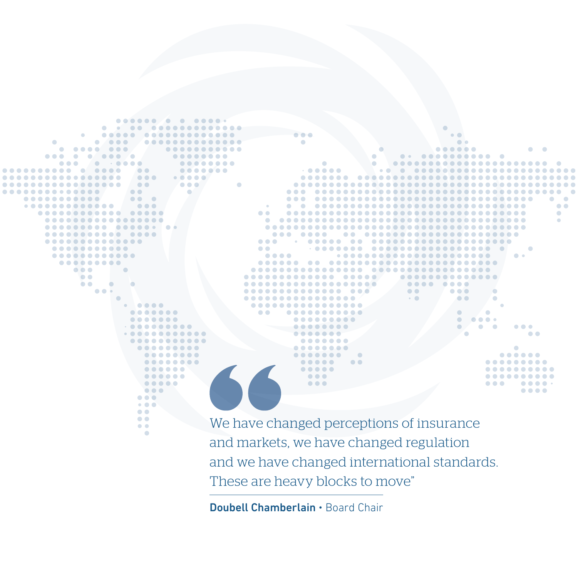×  $\sim$  $\bullet\bullet\bullet$ ..... ......  $\bullet$   $\bullet$   $\bullet$  $\bullet\bullet\bullet\bullet\bullet$  $\bullet$   $\bullet$   $\bullet$  $\bullet$   $\bullet$   $\bullet$ . . .  $\bullet$  $\bullet\bullet\bullet\bullet$  $\bullet$  $\blacksquare$  $\cap$  $\sqrt{2}$  $\bullet\bullet\bullet$  $\bigcirc$  $\bullet\bullet\bullet\bullet\bullet$  $\bullet$   $\bullet$  $\bullet\bullet\bullet$  $\sim$   $\sim$  $\sqrt{2}$  $\bullet\bullet\bullet\bullet$  $\bullet$  $\bullet$   $\bullet$   $\bullet$  $\bullet$   $\bullet$   $\bullet$ . . . . . . . .  $\bullet\bullet\bullet$ ........... ............  $\bullet\bullet\bullet\bullet$  $\bullet$   $\bullet$  $\bullet$  $\bullet$  $\bullet$   $\bullet$   $\bullet$  $\bullet$   $\bullet$   $\bullet$ ....  $\sim$   $\sim$  $\bullet$   $\bullet$  $\sim$  $\sim$ 

We have changed perceptions of insurance and markets, we have changed regulation and we have changed international standards. These are heavy blocks to move"

 $\bullet\bullet\bullet\bullet$ 

 $\bullet$ 

 $\bullet$  $\bullet$ 

ó

ó

 $\bullet$ × ×

 $\sim$ 

 $\bullet$   $\bullet$ 

Doubell Chamberlain • Board Chair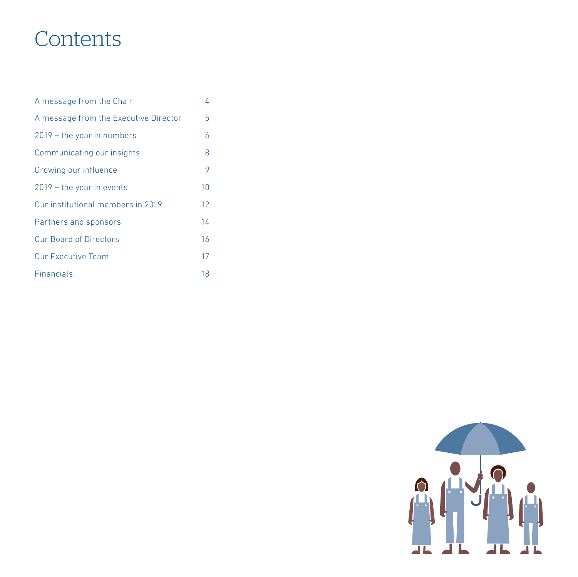# **Contents**

| A message from the Chair              | 4  |  |
|---------------------------------------|----|--|
| A message from the Executive Director | 5  |  |
| $2019$ – the year in numbers          | 6  |  |
| Communicating our insights            | 8  |  |
| Growing our influence                 | 9  |  |
| $2019$ – the year in events           | 10 |  |
| Our institutional members in 2019     | 12 |  |
| Partners and sponsors                 | 14 |  |
| <b>Our Board of Directors</b>         | 16 |  |
| <b>Our Executive Team</b>             | 17 |  |
| <b>Financials</b>                     | 18 |  |

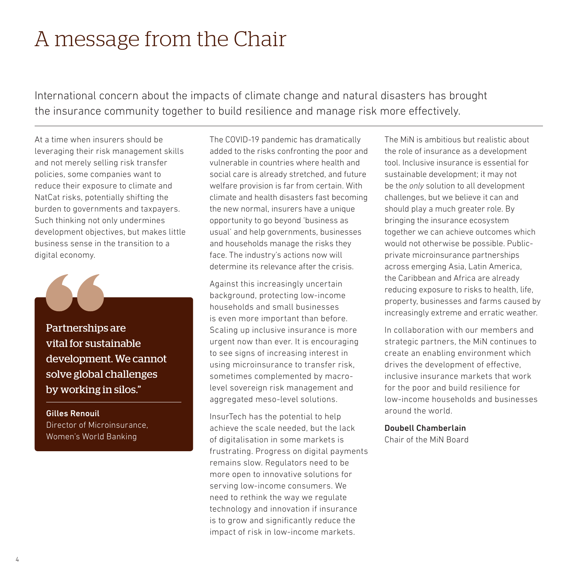# <span id="page-3-0"></span>A message from the Chair

International concern about the impacts of climate change and natural disasters has brought the insurance community together to build resilience and manage risk more effectively.

At a time when insurers should be leveraging their risk management skills and not merely selling risk transfer policies, some companies want to reduce their exposure to climate and NatCat risks, potentially shifting the burden to governments and taxpayers. Such thinking not only undermines development objectives, but makes little business sense in the transition to a digital economy.

Partnerships are vital for sustainable development. We cannot solve global challenges by working in silos."

Gilles Renouil Director of Microinsurance, Women's World Banking

The COVID-19 pandemic has dramatically added to the risks confronting the poor and vulnerable in countries where health and social care is already stretched, and future welfare provision is far from certain. With climate and health disasters fast becoming the new normal, insurers have a unique opportunity to go beyond 'business as usual' and help governments, businesses and households manage the risks they face. The industry's actions now will determine its relevance after the crisis.

Against this increasingly uncertain background, protecting low-income households and small businesses is even more important than before. Scaling up inclusive insurance is more urgent now than ever. It is encouraging to see signs of increasing interest in using microinsurance to transfer risk, sometimes complemented by macrolevel sovereign risk management and aggregated meso-level solutions.

InsurTech has the potential to help achieve the scale needed, but the lack of digitalisation in some markets is frustrating. Progress on digital payments remains slow. Regulators need to be more open to innovative solutions for serving low-income consumers. We need to rethink the way we regulate technology and innovation if insurance is to grow and significantly reduce the impact of risk in low-income markets.

The MiN is ambitious but realistic about the role of insurance as a development tool. Inclusive insurance is essential for sustainable development; it may not be the *only* solution to all development challenges, but we believe it can and should play a much greater role. By bringing the insurance ecosystem together we can achieve outcomes which would not otherwise be possible. Publicprivate microinsurance partnerships across emerging Asia, Latin America, the Caribbean and Africa are already reducing exposure to risks to health, life, property, businesses and farms caused by increasingly extreme and erratic weather.

In collaboration with our members and strategic partners, the MiN continues to create an enabling environment which drives the development of effective, inclusive insurance markets that work for the poor and build resilience for low-income households and businesses around the world.

#### Doubell Chamberlain

Chair of the MiN Board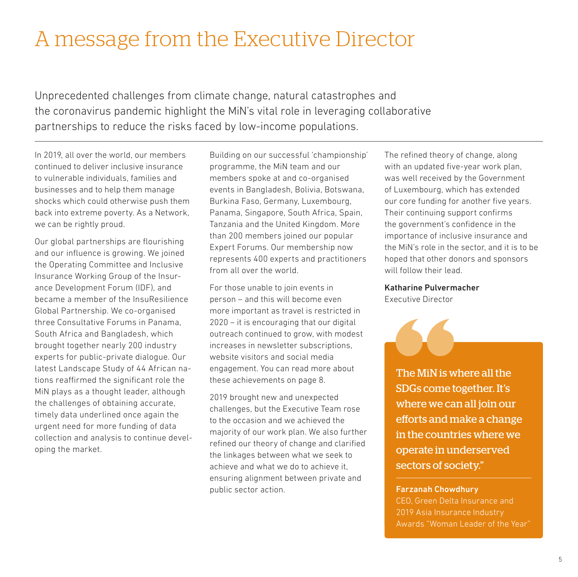## <span id="page-4-0"></span>A message from the Executive Director

Unprecedented challenges from climate change, natural catastrophes and the coronavirus pandemic highlight the MiN's vital role in leveraging collaborative partnerships to reduce the risks faced by low-income populations.

In 2019, all over the world, our members continued to deliver inclusive insurance to vulnerable individuals, families and businesses and to help them manage shocks which could otherwise push them back into extreme poverty. As a Network, we can be rightly proud.

Our global partnerships are flourishing and our influence is growing. We joined the Operating Committee and Inclusive Insurance Working Group of the Insurance Development Forum (IDF), and became a member of the InsuResilience Global Partnership. We co-organised three Consultative Forums in Panama, South Africa and Bangladesh, which brought together nearly 200 industry experts for public-private dialogue. Our latest Landscape Study of 44 African nations reaffirmed the significant role the MiN plays as a thought leader, although the challenges of obtaining accurate, timely data underlined once again the urgent need for more funding of data collection and analysis to continue developing the market.

Building on our successful 'championship' programme, the MiN team and our members spoke at and co-organised events in Bangladesh, Bolivia, Botswana, Burkina Faso, Germany, Luxembourg, Panama, Singapore, South Africa, Spain, Tanzania and the United Kingdom. More than 200 members joined our popular Expert Forums. Our membership now represents 400 experts and practitioners from all over the world.

For those unable to join events in person – and this will become even more important as travel is restricted in 2020 – it is encouraging that our digital outreach continued to grow, with modest increases in newsletter subscriptions, website visitors and social media engagement. You can read more about these achievements on page 8.

2019 brought new and unexpected challenges, but the Executive Team rose to the occasion and we achieved the majority of our work plan. We also further refined our theory of change and clarified the linkages between what we seek to achieve and what we do to achieve it, ensuring alignment between private and public sector action.

The refined theory of change, along with an updated five-year work plan, was well received by the Government of Luxembourg, which has extended our core funding for another five years. Their continuing support confirms the government's confidence in the importance of inclusive insurance and the MiN's role in the sector, and it is to be hoped that other donors and sponsors will follow their lead.

#### Katharine Pulvermacher

Executive Director

The MiN is where all the SDGs come together. It's where we can all join our efforts and make a change in the countries where we operate in underserved sectors of society."

#### Farzanah Chowdhury

2019 Asia Insurance Industry Awards "Woman Leader of the Year"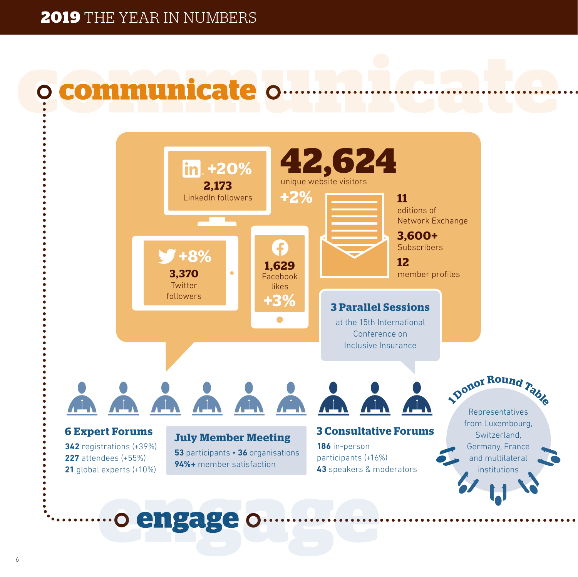# <span id="page-5-0"></span>communicate o



o engage o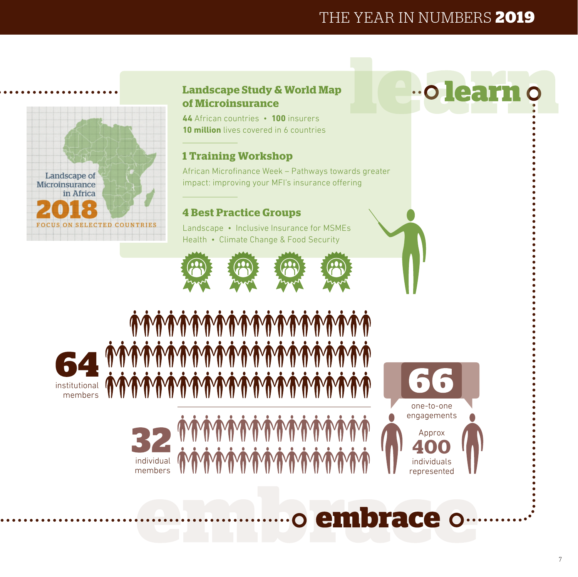### THE YEAR IN NUMBERS **2019**



### **Landscape Study & World Map of Microinsurance**

**44** African countries • **100** insurers **10 million** lives covered in 6 countries

### **1 Training Workshop**

African Microfinance Week – Pathways towards greater impact: improving your MFI's insurance offering

### **4 Best Practice Groups**

Landscape • Inclusive Insurance for MSMEs Health • Climate Change & Food Security



*Ţ***ĸĸĸĸĸĸĸĸĸĸĸĸĸĸĸĸĸĸĸĸĸĸĸĸĸĸĸ** 

**MMMMMM** 









# o embrace o

# **"O learn**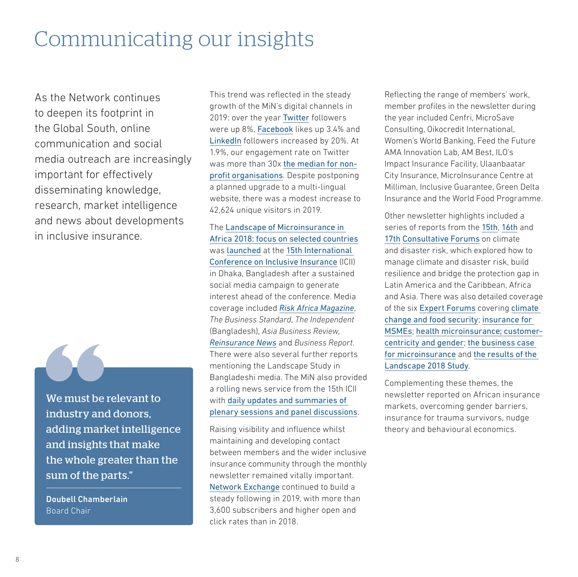## <span id="page-7-0"></span>Communicating our insights

As the Network continues to deepen its footprint in the Global South, online communication and social media outreach are increasingly important for effectively disseminating knowledge, research, market intelligence and news about developments in inclusive insurance.



We must be relevant to industry and donors, adding market intelligence and insights that make the whole greater than the sum of the parts."

Doubell Chamberlain Board Chair

This trend was reflected in the steady growth of the MiN's digital channels in 2019: over the year [Twitter](https://twitter.com/NetworkFlash) followers were up 8%, [Facebook](https://www.facebook.com/MicroinsuranceNetwork/) likes up 3.4% and [LinkedIn](https://www.linkedin.com/company/microinsurance-network/) followers increased by 20%. At 1.9%, our engagement rate on Twitter was more than 30x [the median for non](https://www.rivaliq.com/blog/2019-social-media-benchmark-report/#title-nonprofits)[profit organisations](https://www.rivaliq.com/blog/2019-social-media-benchmark-report/#title-nonprofits). Despite postponing a planned upgrade to a multi-lingual website, there was a modest increase to 42,624 unique visitors in 2019.

The [Landscape of Microinsurance in](https://microinsurancenetwork.org/sites/default/files/Landscape%20of%20Microinsurance%20in%20Africa%202018_LR.pdf)  [Africa 2018: focus on selected countries](https://microinsurancenetwork.org/sites/default/files/Landscape%20of%20Microinsurance%20in%20Africa%202018_LR.pdf) was [launched](https://microinsurancenetwork.org/groups/lack-insurance-africa-leaves-millions-vulnerable-climate-change-and-natural-disasters) at the [15th International](https://microinsurancenetwork.org/sites/default/files/ICII_2019_Report_Web.pdf)  [Conference on Inclusive Insurance](https://microinsurancenetwork.org/sites/default/files/ICII_2019_Report_Web.pdf) (ICII) in Dhaka, Bangladesh after a sustained social media campaign to generate interest ahead of the conference. Media coverage included *[Risk Africa Magazine](https://www.riskafrica.com/lack-of-insurance-in-africa-leaves-millions-vulnerable-to-climate-change-and-natural-disasters/)*, *The Business Standard*, *The Independent* (Bangladesh), *Asia Business Review*, *[Reinsurance News](https://www.reinsurancene.ws/insurance-penetration-growing-but-poorest-more-vulnerable-than-ever-report-finds/)* and *Business Report*. There were also several further reports mentioning the Landscape Study in Bangladeshi media. The MiN also provided a rolling news service from the 15th ICII with [daily updates and summaries of](https://microinsurancenetwork.org/groups/15th-international-conference-inclusive-insurance-daily-recaps)  [plenary sessions and panel discussions](https://microinsurancenetwork.org/groups/15th-international-conference-inclusive-insurance-daily-recaps).

Raising visibility and influence whilst maintaining and developing contact between members and the wider inclusive insurance community through the monthly newsletter remained vitally important. [Network Exchange](https://microinsurancenetwork.org/network-exchange) continued to build a steady following in 2019, with more than 3,600 subscribers and higher open and click rates than in 2018.

Reflecting the range of members' work, member profiles in the newsletter during the year included Cenfri, MicroSave Consulting, Oikocredit International, Women's World Banking, Feed the Future AMA Innovation Lab, AM Best, ILO's Impact Insurance Facility, Ulaanbaatar City Insurance, MicroInsurance Centre at Milliman, Inclusive Guarantee, Green Delta Insurance and the World Food Programme.

Other newsletter highlights included a series of reports from the [15th](https://microinsurancenetwork.org/community/blog/insights-and-perspectives/climate-and-disaster-risk-building-resilience-bridging), [16th](https://www.linkedin.com/pulse/broader-collaboration-partnerships-crucial-building-resilience-fulco/) and [17th](https://microinsurancenetwork.org/groups/relief-preparedness-including-insurance-disaster-risk-management-strategies) [Consultative Forums](https://microinsurancenetwork.org/sites/default/files/Summary%20note%20-%20CFs%20in%202019_vf.pdf) on climate and disaster risk, which explored how to manage climate and disaster risk, build resilience and bridge the protection gap in Latin America and the Caribbean, Africa and Asia. There was also detailed coverage of the six [Expert Forums](https://microinsurancenetwork.org/expert-forums) covering [climate](https://microinsurancenetwork.org/community/blog/insights-and-perspectives/expert-forum-agriculture-insurance-climate-risk-and)  [change and food security](https://microinsurancenetwork.org/community/blog/insights-and-perspectives/expert-forum-agriculture-insurance-climate-risk-and); [insurance for](https://microinsurancenetwork.org/community/blog/insights-and-perspectives/challenges-and-impact-extending-inclusive-insurance-msmes)  [MSMEs](https://microinsurancenetwork.org/community/blog/insights-and-perspectives/challenges-and-impact-extending-inclusive-insurance-msmes); [health microinsurance](https://microinsurancenetwork.org/groups/nudging-low-income-people-towards-inclusive-health-insurance); [customer](https://microinsurancenetwork.org/groups/customer-centricity-and-gender-sensitivity-are-essential-inclusive-insurance)[centricity and gender](https://microinsurancenetwork.org/groups/customer-centricity-and-gender-sensitivity-are-essential-inclusive-insurance); [the business case](https://microinsurancenetwork.org/groups/business-case-microinsurance-revisited)  [for microinsurance](https://microinsurancenetwork.org/groups/business-case-microinsurance-revisited) and [the results of the](https://microinsurancenetwork.org/groups/challenging-trends-overcome-latest-landscape-microinsurance-africa-study-launched)  [Landscape 2018 Study](https://microinsurancenetwork.org/groups/challenging-trends-overcome-latest-landscape-microinsurance-africa-study-launched).

Complementing these themes, the newsletter reported on African insurance markets, overcoming gender barriers, insurance for trauma survivors, nudge theory and behavioural economics.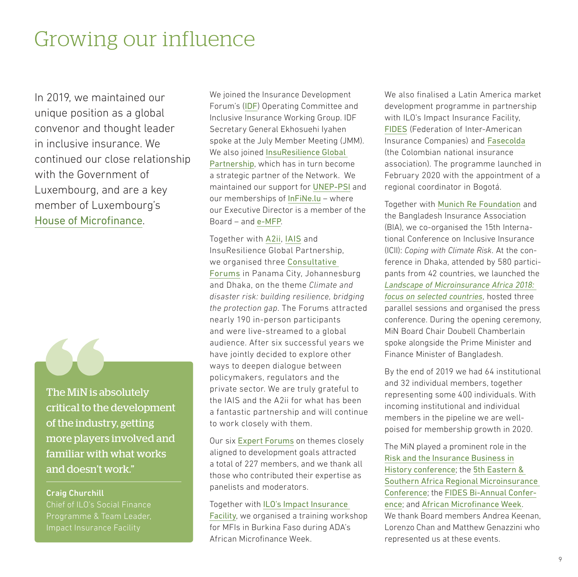### <span id="page-8-0"></span>Growing our influence

In 2019, we maintained our unique position as a global convenor and thought leader in inclusive insurance. We continued our close relationship with the Government of Luxembourg, and are a key member of Luxembourg's [House of Microfinance](https://cooperation.gouvernement.lu/en/partenaires/microfinance.html).



The MiN is absolutely critical to the development of the industry, getting more players involved and familiar with what works and doesn't work."

#### Craig Churchill

Chief of ILO's Social Finance Programme & Team Leader, Impact Insurance Facility

We joined the Insurance Development Forum's ([IDF](https://www.insdevforum.org)) Operating Committee and Inclusive Insurance Working Group. IDF Secretary General Ekhosuehi Iyahen spoke at the July Member Meeting (JMM). We also joined [InsuResilience Global](https://www.insuresilience.org)  [Partnership](https://www.insuresilience.org), which has in turn become a strategic partner of the Network. We maintained our support for [UNEP-PSI](https://www.unepfi.org/psi/) and our memberships of [InFiNe.lu](https://www.infine.lu) – where our Executive Director is a member of the Board – and [e-MFP](http://www.e-mfp.eu).

Together with [A2ii](https://a2ii.org/en/home), [IAIS](https://www.iaisweb.org/home) and InsuResilience Global Partnership, we organised three [Consultative](https://microinsurancenetwork.org/consultative-forums)  [Forum](https://microinsurancenetwork.org/consultative-forums)s in Panama City, Johannesburg and Dhaka, on the theme *Climate and disaster risk: building resilience, bridging the protection gap*. The Forums attracted nearly 190 in-person participants and were live-streamed to a global audience. After six successful years we have jointly decided to explore other ways to deepen dialogue between policymakers, regulators and the private sector. We are truly grateful to the IAIS and the A2ii for what has been a fantastic partnership and will continue to work closely with them.

Our six [Expert Forums](https://microinsurancenetwork.org/expert-forums) on themes closely aligned to development goals attracted a total of 227 members, and we thank all those who contributed their expertise as panelists and moderators.

#### Together with [ILO's Impact Insurance](http://www.impactinsurance.org)  [Facility](http://www.impactinsurance.org), we organised a training workshop for MFIs in Burkina Faso during ADA's African Microfinance Week.

We also finalised a Latin America market development programme in partnership with ILO's Impact Insurance Facility, [FIDES](http://fides.aacs.org.ar) (Federation of Inter-American Insurance Companies) and [Fasecolda](https://fasecolda.com) (the Colombian national insurance association). The programme launched in February 2020 with the appointment of a regional coordinator in Bogotá.

Together with [Munich Re Foundation](http://www.munichre-foundation.org/en.html) and the Bangladesh Insurance Association (BIA), we co-organised the 15th International Conference on Inclusive Insurance (ICII): *Coping with Climate Risk*. At the conference in Dhaka, attended by 580 participants from 42 countries, we launched the *[Landscape of Microinsurance Africa 2018:](https://microinsurancenetwork.org/sites/default/files/Landscape%20of%20Microinsurance%20in%20Africa%202018_LR.pdf)  [focus on selected countries](https://microinsurancenetwork.org/sites/default/files/Landscape%20of%20Microinsurance%20in%20Africa%202018_LR.pdf)*, hosted three parallel sessions and organised the press conference. During the opening ceremony, MiN Board Chair Doubell Chamberlain spoke alongside the Prime Minister and Finance Minister of Bangladesh.

By the end of 2019 we had 64 institutional and 32 individual members, together representing some 400 individuals. With incoming institutional and individual members in the pipeline we are wellpoised for membership growth in 2020.

The MiN played a prominent role in the [Risk and the Insurance Business in](http://www.riskandtheinsurancebusiness.com) [History conference](http://www.riskandtheinsurancebusiness.com); the [5th Eastern &](http://www.munichre-foundation.org/en/Inclusive_insurance/Learning_Sessions/Tanzania_aims_at_reaching_50_percent_of_the_adult_population_with_insurance_by_2028.html)  [Southern Africa Regional Microinsurance](http://www.munichre-foundation.org/en/Inclusive_insurance/Learning_Sessions/Tanzania_aims_at_reaching_50_percent_of_the_adult_population_with_insurance_by_2028.html)  [Conference](http://www.munichre-foundation.org/en/Inclusive_insurance/Learning_Sessions/Tanzania_aims_at_reaching_50_percent_of_the_adult_population_with_insurance_by_2028.html); the [FIDES Bi-Annual Confer](https://fides2019.com)[ence](https://fides2019.com); and [African Microfinance Week](https://www.ada-microfinance.org/en/events/african-microfinance-week). We thank Board members Andrea Keenan Lorenzo Chan and Matthew Genazzini who represented us at these events.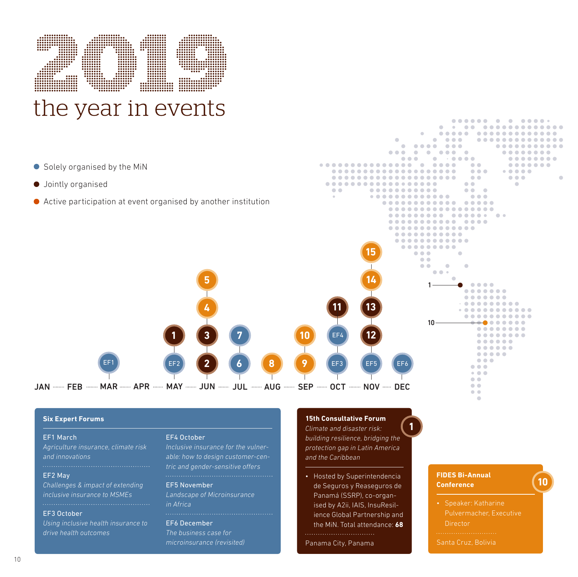<span id="page-9-0"></span>

- Solely organised by the MiN
- $\bullet$  Jointly organised
- Active participation at event organised by another institution



#### **Six Expert Forums**

#### EF1 March

*Agriculture insurance, climate risk and innovations*

#### EF2 May

*Challenges & impact of extending inclusive insurance to MSMEs*

#### EF3 October

*Using inclusive health insurance to drive health outcomes*

#### EF4 October

*able: how to design customer-centric and gender-sensitive offers*

#### EF5 November

*Landscape of Microinsurance in Africa*

**2**

**4**

**5**

**7**

**1 3**

#### EF6 December

*The business case for microinsurance (revisited)*

#### **15th Consultative Forum**

**10**

**8 9**

*Climate and disaster risk: building resilience, bridging the protection gap in Latin America and the Caribbean*

**1**

• Hosted by Superintendencia de Seguros y Reaseguros de Panamá (SSRP), co-organised by A2ii, IAIS, InsuResilience Global Partnership and the MiN. Total attendance: **68**

Panama City, Panama

#### **FIDES Bi-Annual Conference**

**10**

Director

Santa Cruz, Bolivia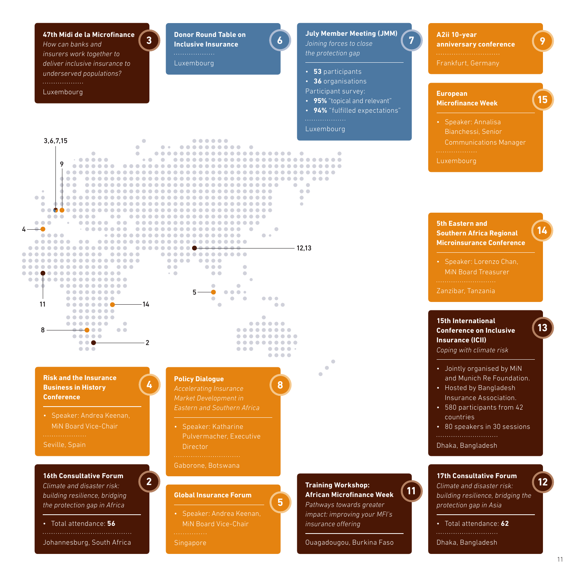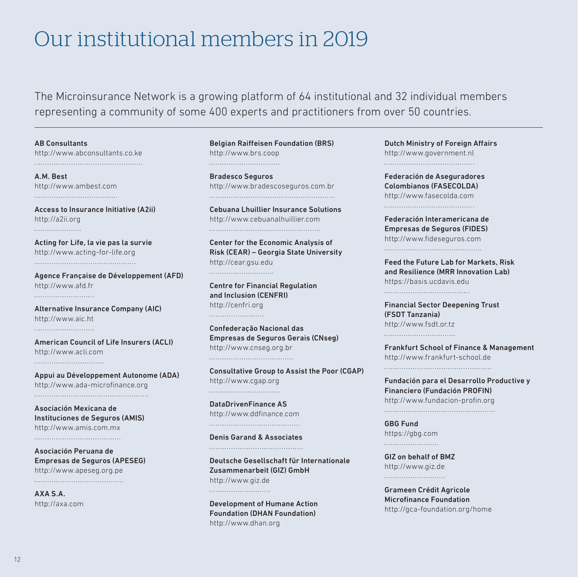## <span id="page-11-0"></span>Our institutional members in 2019

The Microinsurance Network is a growing platform of 64 institutional and 32 individual members representing a community of some 400 experts and practitioners from over 50 countries.

AB Consultants <http://www.abconsultants.co.ke> 

A.M. Best <http://www.ambest.com> 

Access to Insurance Initiative (A2ii) <http://a2ii.org> 

Acting for Life, la vie pas la survie <http://www.acting-for-life.org> 

Agence Française de Développement (AFD) <http://www.afd.fr> 

Alternative Insurance Company (AIC) <http://www.aic.ht> 

American Council of Life Insurers (ACLI) <http://www.acli.com> 

Appui au Développement Autonome (ADA) <http://www.ada-microfinance.org> 

Asociación Mexicana de Instituciones de Seguros (AMIS) <http://www.amis.com.mx> 

Asociación Peruana de Empresas de Seguros (APESEG) <http://www.apeseg.org.pe> 

AXA S.A. <http://axa.com> Belgian Raiffeisen Foundation (BRS) <http://www.brs.coop> 

Bradesco Seguros <http://www.bradescoseguros.com.br> 

Cebuana Lhuillier Insurance Solutions <http://www.cebuanalhuillier.com> 

Center for the Economic Analysis of Risk (CEAR) – Georgia State University <http://cear.gsu.edu> 

Centre for Financial Regulation and Inclusion (CENFRI) <http://cenfri.org> 

Confederação Nacional das Empresas de Seguros Gerais (CNseg) <http://www.cnseg.org.br> 

Consultative Group to Assist the Poor (CGAP) <http://www.cgap.org> 

DataDrivenFinance AS <http://www.ddfinance.com> 

Denis Garand & Associates 

Deutsche Gesellschaft für Internationale Zusammenarbeit (GIZ) GmbH <http://www.giz.de> 

Development of Humane Action Foundation (DHAN Foundation) <http://www.dhan.org>

Dutch Ministry of Foreign Affairs <http://www.government.nl> 

Federación de Aseguradores Colombianos (FASECOLDA) <http://www.fasecolda.com> 

Federación Interamericana de Empresas de Seguros (FIDES) <http://www.fideseguros.com> 

Feed the Future Lab for Markets, Risk and Resilience (MRR Innovation Lab) <https://basis.ucdavis.edu> 

Financial Sector Deepening Trust (FSDT Tanzania) <http://www.fsdt.or.tz> 

Frankfurt School of Finance & Management <http://www.frankfurt-school.de> 

Fundación para el Desarrollo Productive y Financiero (Fundación PROFIN) <http://www.fundacion-profin.org>

GBG Fund <https://gbg.com> 

GIZ on behalf of BMZ <http://www.giz.de> 

Grameen Crédit Agricole Microfinance Foundation <http://gca-foundation.org/home>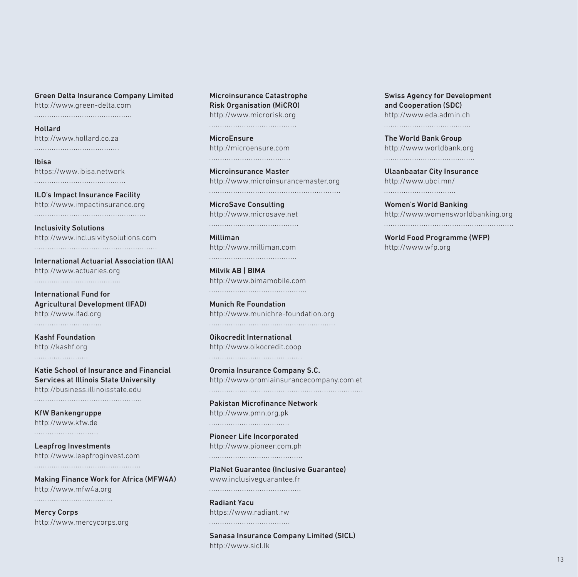Green Delta Insurance Company Limited <http://www.green-delta.com> 

Hollard <http://www.hollard.co.za>

Ibisa <https://www.ibisa.network> 

ILO's Impact Insurance Facility <http://www.impactinsurance.org> 

Inclusivity Solutions <http://www.inclusivitysolutions.com> 

International Actuarial Association (IAA) <http://www.actuaries.org> 

International Fund for Agricultural Development (IFAD) <http://www.ifad.org> 

Kashf Foundation <http://kashf.org> 

Katie School of Insurance and Financial Services at Illinois State University <http://business.illinoisstate.edu>

KfW Bankengruppe <http://www.kfw.de> 

Leapfrog Investments <http://www.leapfroginvest.com> 

Making Finance Work for Africa (MFW4A) <http://www.mfw4a.org> 

Mercy Corps <http://www.mercycorps.org> Microinsurance Catastrophe Risk Organisation (MiCRO) <http://www.microrisk.org> 

MicroEnsure <http://microensure.com> 

Microinsurance Master <http://www.microinsurancemaster.org> 

MicroSave Consulting <http://www.microsave.net> 

Milliman <http://www.milliman.com> 

Milvik AB | BIMA <http://www.bimamobile.com> 

Munich Re Foundation <http://www.munichre-foundation.org> 

Oikocredit International <http://www.oikocredit.coop> 

Oromia Insurance Company S.C. <http://www.oromiainsurancecompany.com.et> 

Pakistan Microfinance Network <http://www.pmn.org.pk> 

Pioneer Life Incorporated <http://www.pioneer.com.ph> 

PlaNet Guarantee (Inclusive Guarantee) [www.inclusiveguarantee.fr](http://www.inclusiveguarantee.fr) 

Radiant Yacu <https://www.radiant.rw> 

Sanasa Insurance Company Limited (SICL) <http://www.sicl.lk>

Swiss Agency for Development and Cooperation (SDC) <http://www.eda.admin.ch> 

The World Bank Group <http://www.worldbank.org> 

Ulaanbaatar City Insurance <http://www.ubci.mn/> 

Women's World Banking <http://www.womensworldbanking.org> 

World Food Programme (WFP) <http://www.wfp.org>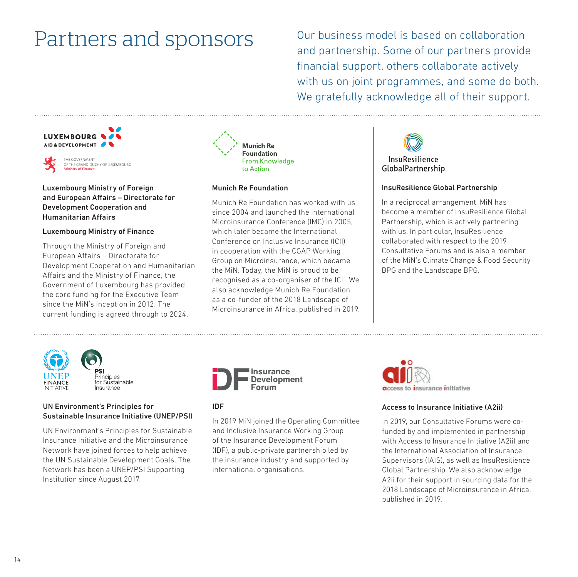<span id="page-13-0"></span>Partners and sponsors Our business model is based on collaboration and partnership. Some of our partners provide financial support, others collaborate actively with us on joint programmes, and some do both. We gratefully acknowledge all of their support.

#### LUXEMBOURG & AID & DEVELOPMENT



Luxembourg Ministry of Foreign and European Affairs – Directorate for Development Cooperation and Humanitarian Affairs

#### Luxembourg Ministry of Finance

Through the Ministry of Foreign and European Affairs – Directorate for Development Cooperation and Humanitarian Affairs and the Ministry of Finance, the Government of Luxembourg has provided the core funding for the Executive Team since the MiN's inception in 2012. The current funding is agreed through to 2024.



### Munich Re Foundation

Munich Re Foundation has worked with us since 2004 and launched the International Microinsurance Conference (IMC) in 2005, which later became the International Conference on Inclusive Insurance (ICII) in cooperation with the CGAP Working Group on Microinsurance, which became the MiN. Today, the MiN is proud to be recognised as a co-organiser of the ICII. We also acknowledge Munich Re Foundation as a co-funder of the 2018 Landscape of Microinsurance in Africa, published in 2019.



#### InsuResilience Global Partnership

In a reciprocal arrangement, MiN has become a member of InsuResilience Global Partnership, which is actively partnering with us. In particular, InsuResilience collaborated with respect to the 2019 Consultative Forums and is also a member of the MiN's Climate Change & Food Security BPG and the Landscape BPG.



<sup>2</sup>rinciples for Sustainable Ingurance

#### UN Environment's Principles for Sustainable Insurance Initiative (UNEP/PSI)

UN Environment's Principles for Sustainable Insurance Initiative and the Microinsurance Network have joined forces to help achieve the UN Sustainable Development Goals. The Network has been a UNEP/PSI Supporting Institution since August 2017.



#### IDF

In 2019 MiN joined the Operating Committee and Inclusive Insurance Working Group of the Insurance Development Forum (IDF), a public-private partnership led by the insurance industry and supported by international organisations.



#### Access to Insurance Initiative (A2ii)

In 2019, our Consultative Forums were cofunded by and implemented in partnership with Access to Insurance Initiative (A2ii) and the International Association of Insurance Supervisors (IAIS), as well as InsuResilience Global Partnership. We also acknowledge A2ii for their support in sourcing data for the 2018 Landscape of Microinsurance in Africa, published in 2019.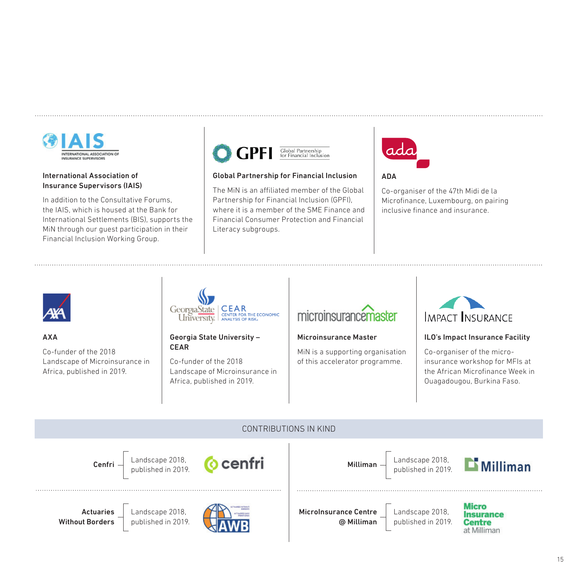

#### International Association of Insurance Supervisors (IAIS)

In addition to the Consultative Forums, the IAIS, which is housed at the Bank for International Settlements (BIS), supports the MiN through our guest participation in their Financial Inclusion Working Group.



#### Global Partnership for Financial Inclusion

The MiN is an affiliated member of the Global Partnership for Financial Inclusion (GPFI), where it is a member of the SME Finance and Financial Consumer Protection and Financial Literacy subgroups.



#### ADA

Co-organiser of the 47th Midi de la Microfinance, Luxembourg, on pairing inclusive finance and insurance.



#### AXA

Co-funder of the 2018 Landscape of Microinsurance in Africa, published in 2019.



#### Georgia State University – CEAR

Co-funder of the 2018 Landscape of Microinsurance in Africa, published in 2019.

### microinsurancemaster

#### Microinsurance Master

MiN is a supporting organisation of this accelerator programme.



#### ILO's Impact Insurance Facility

Co-organiser of the microinsurance workshop for MFIs at the African Microfinance Week in Ouagadougou, Burkina Faso.

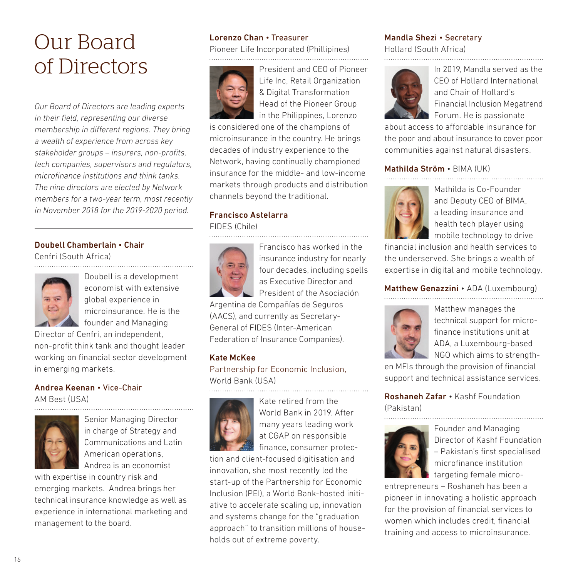# <span id="page-15-0"></span>Our Board of Directors

*Our Board of Directors are leading experts in their field, representing our diverse membership in different regions. They bring a wealth of experience from across key stakeholder groups – insurers, non-profits, tech companies, supervisors and regulators, microfinance institutions and think tanks. The nine directors are elected by Network members for a two-year term, most recently in November 2018 for the 2019-2020 period.*

#### Doubell Chamberlain • Chair

Cenfri (South Africa)



Doubell is a development economist with extensive global experience in microinsurance. He is the founder and Managing

Director of Cenfri, an independent, non-profit think tank and thought leader working on financial sector development in emerging markets.

#### Andrea Keenan • Vice-Chair AM Best (USA)



Senior Managing Director in charge of Strategy and Communications and Latin American operations, Andrea is an economist

with expertise in country risk and emerging markets. Andrea brings her technical insurance knowledge as well as experience in international marketing and management to the board.

#### Lorenzo Chan • Treasurer

Pioneer Life Incorporated (Phillipines) 



President and CEO of Pioneer Life Inc, Retail Organization & Digital Transformation Head of the Pioneer Group in the Philippines, Lorenzo

is considered one of the champions of microinsurance in the country. He brings decades of industry experience to the Network, having continually championed insurance for the middle- and low-income markets through products and distribution channels beyond the traditional.

#### Francisco Astelarra

FIDES (Chile)



Francisco has worked in the insurance industry for nearly four decades, including spells as Executive Director and President of the Asociación

Argentina de Compañías de Seguros (AACS), and currently as Secretary-General of FIDES (Inter-American

Federation of Insurance Companies).

#### Kate McKee

Partnership for Economic Inclusion, World Bank (USA)



Kate retired from the World Bank in 2019. After many years leading work at CGAP on responsible finance, consumer protec-

tion and client-focused digitisation and innovation, she most recently led the start-up of the Partnership for Economic Inclusion (PEI), a World Bank-hosted initiative to accelerate scaling up, innovation and systems change for the "graduation approach" to transition millions of households out of extreme poverty.

#### Mandla Shezi • Secretary

Hollard (South Africa)



In 2019, Mandla served as the CEO of Hollard International and Chair of Hollard's Financial Inclusion Megatrend Forum. He is passionate

about access to affordable insurance for the poor and about insurance to cover poor communities against natural disasters.

#### Mathilda Ström • BIMA (UK)



Mathilda is Co-Founder and Deputy CEO of BIMA, a leading insurance and health tech player using mobile technology to drive

financial inclusion and health services to the underserved. She brings a wealth of expertise in digital and mobile technology.

### Matthew Genazzini • ADA (Luxembourg)



Matthew manages the technical support for microfinance institutions unit at ADA, a Luxembourg-based NGO which aims to strength-

en MFIs through the provision of financial support and technical assistance services.

Roshaneh Zafar • Kashf Foundation (Pakistan)



Founder and Managing Director of Kashf Foundation – Pakistan's first specialised microfinance institution targeting female micro-

entrepreneurs – Roshaneh has been a pioneer in innovating a holistic approach for the provision of financial services to women which includes credit, financial training and access to microinsurance.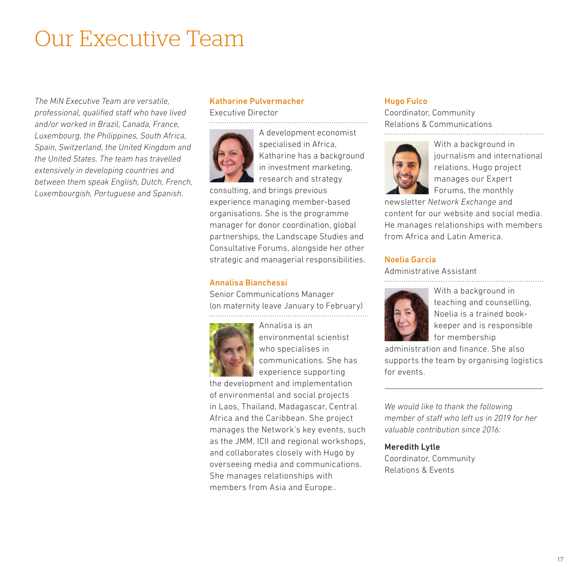# <span id="page-16-0"></span>Our Executive Team

*The MiN Executive Team are versatile, professional, qualified staff who have lived and/or worked in Brazil, Canada, France, Luxembourg, the Philippines, South Africa, Spain, Switzerland, the United Kingdom and the United States. The team has travelled extensively in developing countries and between them speak English, Dutch, French, Luxembourgish, Portuguese and Spanish.*

### Katharine Pulvermacher

Executive Director



A development economist specialised in Africa, Katharine has a background in investment marketing, research and strategy

consulting, and brings previous experience managing member-based organisations. She is the programme manager for donor coordination, global partnerships, the Landscape Studies and Consultative Forums, alongside her other strategic and managerial responsibilities.

#### Annalisa Bianchessi

Senior Communications Manager (on maternity leave January to February)



Annalisa is an environmental scientist who specialises in communications. She has experience supporting

the development and implementation of environmental and social projects in Laos, Thailand, Madagascar, Central Africa and the Caribbean. She project manages the Network's key events, such as the JMM, ICII and regional workshops, and collaborates closely with Hugo by overseeing media and communications. She manages relationships with members from Asia and Europe..

### Hugo Fulco

Coordinator, Community Relations & Communications



With a background in journalism and international relations, Hugo project manages our Expert Forums, the monthly

newsletter *Network Exchange* and content for our website and social media. He manages relationships with members from Africa and Latin America.

### Noelia Garcia

Administrative Assistant



With a background in teaching and counselling, Noelia is a trained bookkeeper and is responsible for membership

administration and finance. She also supports the team by organising logistics for events.

*We would like to thank the following member of staff who left us in 2019 for her valuable contribution since 2016:*

#### Meredith Lytle

Coordinator, Community Relations & Events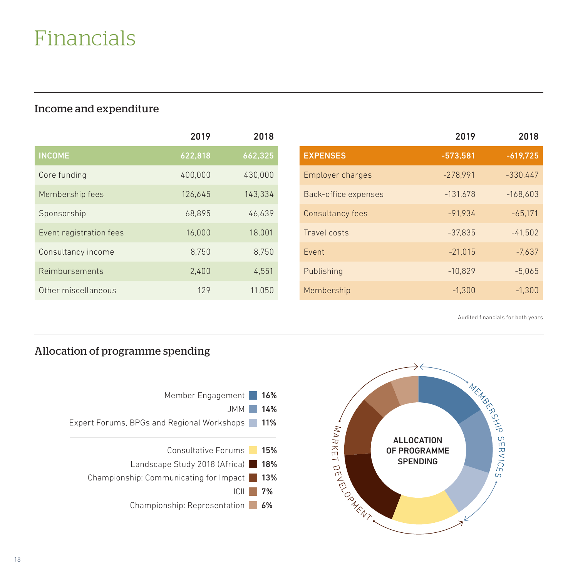# <span id="page-17-0"></span>Financials

### Income and expenditure

|                         | 2019    | 2018    |
|-------------------------|---------|---------|
| <b>INCOME</b>           | 622,818 | 662,325 |
| Core funding            | 400,000 | 430.000 |
| Membership fees         | 126.645 | 143.334 |
| Sponsorship             | 68,895  | 46,639  |
| Event registration fees | 16.000  | 18.001  |
| Consultancy income      | 8.750   | 8,750   |
| Reimbursements          | 2.400   | 4,551   |
| Other miscellaneous     | 129     | 11.050  |

|                         | 2019       | 2018       |
|-------------------------|------------|------------|
| <b>EXPENSES</b>         | $-573.581$ | $-619.725$ |
| <b>Employer charges</b> | $-278.991$ | $-330.447$ |
| Back-office expenses    | $-131,678$ | $-168.603$ |
| Consultancy fees        | $-91.934$  | $-65.171$  |
| Travel costs            | $-37.835$  | $-41.502$  |
| Event                   | $-21.015$  | $-7.637$   |
| Publishing              | $-10.829$  | $-5.065$   |
| Membership              | $-1.300$   | $-1.300$   |

Audited financials for both years

### Allocation of programme spending



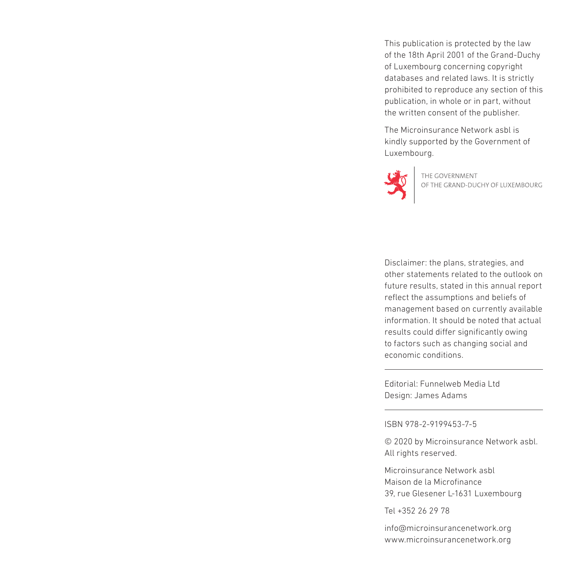This publication is protected by the law of the 18th April 2001 of the Grand-Duchy of Luxembourg concerning copyright databases and related laws. It is strictly prohibited to reproduce any section of this publication, in whole or in part, without the written consent of the publisher.

The Microinsurance Network asbl is kindly supported by the Government of Luxembourg.



THE GOVERNMENT<br>OF THE GRAND-DUCHY OF LUXEMBOURG

Disclaimer: the plans, strategies, and other statements related to the outlook on future results, stated in this annual report reflect the assumptions and beliefs of management based on currently available information. It should be noted that actual results could differ significantly owing to factors such as changing social and economic conditions.

Editorial: Funnelweb Media Ltd Design: James Adams

ISBN 978-2-9199453-7-5

© 2020 by Microinsurance Network asbl. All rights reserved.

Microinsurance Network asbl Maison de la Microfinance 39, rue Glesener L-1631 Luxembourg

Tel +352 26 29 78

[info@microinsurancenetwork.org](mailto:info@microinsurancenetwork.org) [www.microinsurancenetwork.org](http://www.microinsurancenetwork.org)